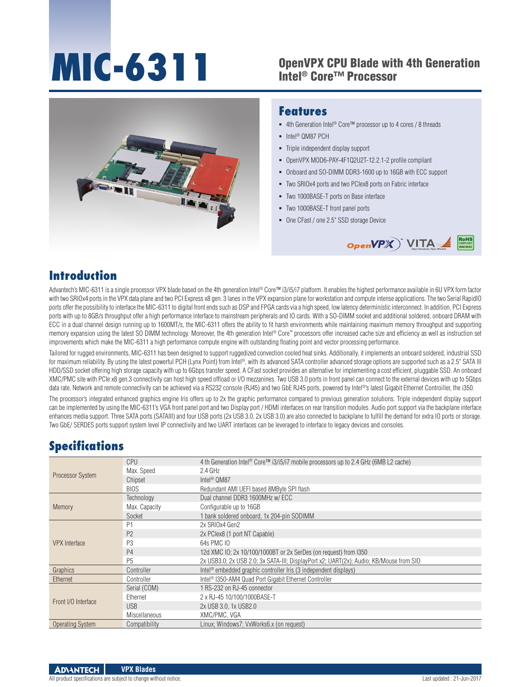# **MIC-6311**

#### OpenVPX CPU Blade with 4th Generation Intel® Core™ Processor



#### **Features**

- 4th Generation Intel<sup>®</sup> Core™ processor up to 4 cores / 8 threads
- Intel<sup>®</sup> QM87 PCH
- **Triple independent display support**
- OpenVPX MOD6-PAY-4F1Q2U2T-12.2.1-2 profile compliant
- Onboard and SO-DIMM DDR3-1600 up to 16GB with ECC support
- Two SRIOx4 ports and two PCIex8 ports on Fabric interface
- Two 1000BASE-T ports on Base interface
- Two 1000BASE-T front panel ports
- One CFast / one 2.5" SSD storage Device



#### **Introduction**

Advantech's MIC-6311 is a single processor VPX blade based on the 4th generation Intel® Core™ i3/i5/i7 platform. It enables the highest performance available in 6U VPX form factor with two SRIOx4 ports in the VPX data plane and two PCI Express x8 gen. 3 lanes in the VPX expansion plane for workstation and compute intense applications. The two Serial RapidIO ports offer the possibility to interface the MIC-6311 to digital front ends such as DSP and FPGA cards via a high speed, low latency deterministic interconnect. In addition, PCI Express ports with up to 8GB/s throughput offer a high performance interface to mainstream peripherals and IO cards. With a SO-DIMM socket and additional soldered, onboard DRAM with ECC in a dual channel design running up to 1600MT/s, the MIC-6311 offers the ability to fit harsh environments while maintaining maximum memory throughput and supporting memory expansion using the latest SO DIMM technology. Moreover, the 4th generation Intel® Core™ processors offer increased cache size and efficiency as well as instruction set improvements which make the MIC-6311 a high performance compute engine with outstanding floating point and vector processing performance.

Tailored for rugged environments, MIC-6311 has been designed to support ruggedized convection cooled heat sinks. Additionally, it implements an onboard soldered, industrial SSD for maximum reliability. By using the latest powerful PCH (Lynx Point) from Intel®, with its advanced SATA controller advanced storage options are supported such as a 2.5" SATA III HDD/SSD socket offering high storage capacity with up to 6Gbps transfer speed. A CFast socket provides an alternative for implementing a cost efficient, pluggable SSD. An onboard XMC/PMC site with PCIe x8 gen.3 connectivity can host high speed offload or I/O mezzanines. Two USB 3.0 ports in front panel can connect to the external devices with up to 5Gbps data rate. Network and remote connectivity can be achieved via a RS232 console (RJ45) and two GbE RJ45 ports, powered by Intel®'s latest Gigabit Ethernet Controiller, the i350.

The processor's integrated enhanced graphics engine Iris offers up to 2x the graphic performance compared to previous generation solutions. Triple independent display support can be implemented by using the MIC-6311's VGA front panel port and two Display port / HDMI interfaces on rear transition modules. Audio port support via the backplane interface enhances media support. Three SATA ports (SATAIII) and four USB ports (2x USB 3.0, 2x USB 3.0) are also connected to backplane to fulfill the demand for extra IO ports or storage. Two GbE/ SERDES ports support system level IP connectivity and two UART interfaces can be leveraged to interface to legacy devices and consoles.

## **Specifications**

| Processor System     | <b>CPU</b>     | 4 th Generation Intel <sup>®</sup> Core™ i3/i5/i7 mobile processors up to 2.4 GHz (6MB L2 cache) |
|----------------------|----------------|--------------------------------------------------------------------------------------------------|
|                      | Max. Speed     | $2.4$ GHz                                                                                        |
|                      | Chipset        | Intel <sup>®</sup> QM87                                                                          |
|                      | <b>BIOS</b>    | Redundant AMI UEFI based 8MByte SPI flash                                                        |
| Memory               | Technology     | Dual channel DDR3 1600MHz w/ ECC                                                                 |
|                      | Max. Capacity  | Configurable up to 16GB                                                                          |
|                      | Socket         | 1 bank soldered onboard, 1x 204-pin SODIMM                                                       |
| <b>VPX</b> Interface | P <sub>1</sub> | 2x SRIOx4 Gen2                                                                                   |
|                      | P <sub>2</sub> | 2x PClex8 (1 port NT Capable)                                                                    |
|                      | P <sub>3</sub> | 64s PMC 10                                                                                       |
|                      | P <sub>4</sub> | 12d XMC IO: 2x 10/100/1000BT or 2x SerDes (on request) from 1350                                 |
|                      | P <sub>5</sub> | 2x USB3.0; 2x USB 2.0; 3x SATA-III; DisplayPort x2; UART(2x); Audio; KB/Mouse from SIO           |
| Graphics             | Controller     | Intel <sup>®</sup> embedded graphic controller Iris (3 independent displays)                     |
| Ethernet             | Controller     | Intel <sup>®</sup> I350-AM4 Quad Port Gigabit Ethernet Controller                                |
| Front I/O Interface  | Serial (COM)   | 1 RS-232 on RJ-45 connector                                                                      |
|                      | Ethernet       | 2 x RJ-45 10/100/1000BASE-T                                                                      |
|                      | <b>USB</b>     | 2x USB 3.0, 1x USB2.0                                                                            |
|                      | Miscellaneous  | XMC/PMC, VGA                                                                                     |
| Operating System     | Compatibility  | Linux; Windows7; VxWorks6.x (on request)                                                         |